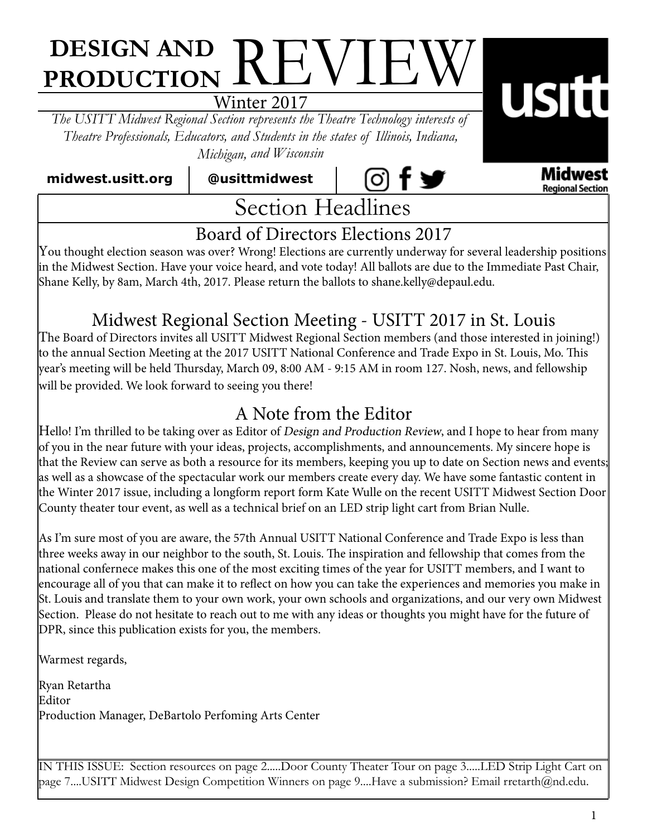# **DESIGN AND PRODUCTION REVIEW**

Winter 2017

*The USITT Midwest Regional Section represents the Theatre Technology interests of Theatre Professionals, Educators, and Students in the states of Illinois, Indiana, Michigan, and Wisconsin*

 **midwest.usitt.org @usittmidwest**



Midwest **Regional Section** 

**USItt** 

### Board of Directors Elections 2017

You thought election season was over? Wrong! Elections are currently underway for several leadership positions in the Midwest Section. Have your voice heard, and vote today! All ballots are due to the Immediate Past Chair, Shane Kelly, by 8am, March 4th, 2017. Please return the ballots to shane.kelly@depaul.edu.

### Midwest Regional Section Meeting - USITT 2017 in St. Louis

The Board of Directors invites all USITT Midwest Regional Section members (and those interested in joining!) to the annual Section Meeting at the 2017 USITT National Conference and Trade Expo in St. Louis, Mo. This year's meeting will be held Thursday, March 09, 8:00 AM - 9:15 AM in room 127. Nosh, news, and fellowship will be provided. We look forward to seeing you there!

### A Note from the Editor

Hello! I'm thrilled to be taking over as Editor of Design and Production Review, and I hope to hear from many of you in the near future with your ideas, projects, accomplishments, and announcements. My sincere hope is that the Review can serve as both a resource for its members, keeping you up to date on Section news and events; as well as a showcase of the spectacular work our members create every day. We have some fantastic content in the Winter 2017 issue, including a longform report form Kate Wulle on the recent USITT Midwest Section Door County theater tour event, as well as a technical brief on an LED strip light cart from Brian Nulle.

As I'm sure most of you are aware, the 57th Annual USITT National Conference and Trade Expo is less than three weeks away in our neighbor to the south, St. Louis. The inspiration and fellowship that comes from the national confernece makes this one of the most exciting times of the year for USITT members, and I want to encourage all of you that can make it to reflect on how you can take the experiences and memories you make in St. Louis and translate them to your own work, your own schools and organizations, and our very own Midwest Section. Please do not hesitate to reach out to me with any ideas or thoughts you might have for the future of DPR, since this publication exists for you, the members.

Warmest regards,

Ryan Retartha Editor Production Manager, DeBartolo Perfoming Arts Center

IN THIS ISSUE: Section resources on page 2.....Door County Theater Tour on page 3.....LED Strip Light Cart on page 7....USITT Midwest Design Competition Winners on page 9....Have a submission? Email rretarth@nd.edu.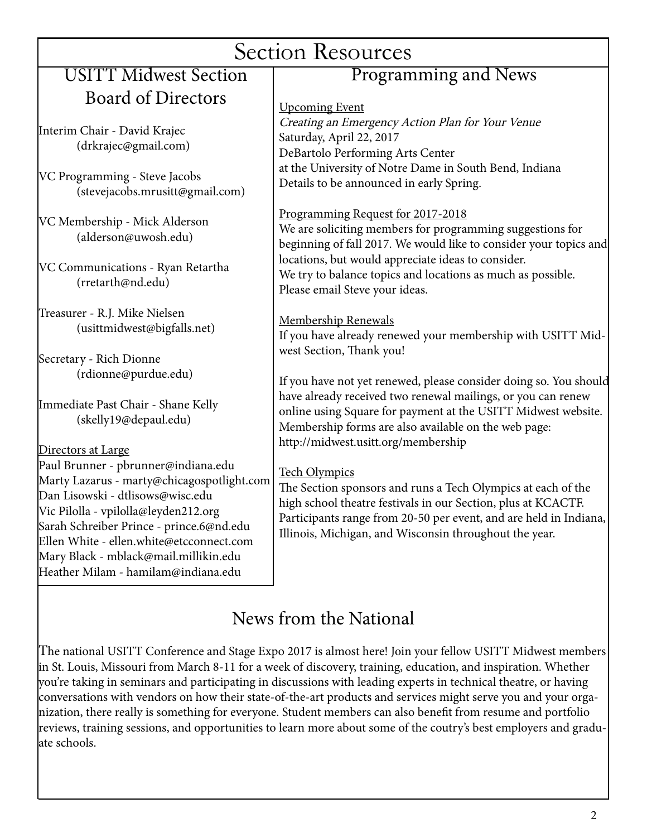| <b>Section Resources</b>                                                                                                                                                                                                                                                                                                                                    |                                                                                                                                                                                                                                                                                                                             |
|-------------------------------------------------------------------------------------------------------------------------------------------------------------------------------------------------------------------------------------------------------------------------------------------------------------------------------------------------------------|-----------------------------------------------------------------------------------------------------------------------------------------------------------------------------------------------------------------------------------------------------------------------------------------------------------------------------|
| <b>USITT Midwest Section</b>                                                                                                                                                                                                                                                                                                                                | Programming and News                                                                                                                                                                                                                                                                                                        |
| <b>Board of Directors</b>                                                                                                                                                                                                                                                                                                                                   | <b>Upcoming Event</b>                                                                                                                                                                                                                                                                                                       |
| Interim Chair - David Krajec<br>(drkrajec@gmail.com)                                                                                                                                                                                                                                                                                                        | Creating an Emergency Action Plan for Your Venue<br>Saturday, April 22, 2017<br>DeBartolo Performing Arts Center                                                                                                                                                                                                            |
| VC Programming - Steve Jacobs<br>(stevejacobs.mrusitt@gmail.com)                                                                                                                                                                                                                                                                                            | at the University of Notre Dame in South Bend, Indiana<br>Details to be announced in early Spring.                                                                                                                                                                                                                          |
| VC Membership - Mick Alderson<br>(alderson@uwosh.edu)                                                                                                                                                                                                                                                                                                       | Programming Request for 2017-2018<br>We are soliciting members for programming suggestions for<br>beginning of fall 2017. We would like to consider your topics and                                                                                                                                                         |
| VC Communications - Ryan Retartha<br>(rretarth@nd.edu)                                                                                                                                                                                                                                                                                                      | locations, but would appreciate ideas to consider.<br>We try to balance topics and locations as much as possible.<br>Please email Steve your ideas.                                                                                                                                                                         |
| Treasurer - R.J. Mike Nielsen<br>(usittmidwest@bigfalls.net)                                                                                                                                                                                                                                                                                                | Membership Renewals<br>If you have already renewed your membership with USITT Mid-                                                                                                                                                                                                                                          |
| Secretary - Rich Dionne<br>(rdionne@purdue.edu)                                                                                                                                                                                                                                                                                                             | west Section, Thank you!<br>If you have not yet renewed, please consider doing so. You should                                                                                                                                                                                                                               |
| Immediate Past Chair - Shane Kelly<br>(skelly19@depaul.edu)                                                                                                                                                                                                                                                                                                 | have already received two renewal mailings, or you can renew<br>online using Square for payment at the USITT Midwest website.<br>Membership forms are also available on the web page:                                                                                                                                       |
| Directors at Large<br>Paul Brunner - pbrunner@indiana.edu<br>Marty Lazarus - marty@chicagospotlight.com<br>Dan Lisowski - dtlisows@wisc.edu<br>Vic Pilolla - vpilolla@leyden212.org<br>Sarah Schreiber Prince - prince.6@nd.edu<br>Ellen White - ellen.white@etcconnect.com<br>Mary Black - mblack@mail.millikin.edu<br>Heather Milam - hamilam@indiana.edu | http://midwest.usitt.org/membership<br><b>Tech Olympics</b><br>The Section sponsors and runs a Tech Olympics at each of the<br>high school theatre festivals in our Section, plus at KCACTF.<br>Participants range from 20-50 per event, and are held in Indiana,<br>Illinois, Michigan, and Wisconsin throughout the year. |
|                                                                                                                                                                                                                                                                                                                                                             | Noute from the Netional                                                                                                                                                                                                                                                                                                     |

### News from the National

The national USITT Conference and Stage Expo 2017 is almost here! Join your fellow USITT Midwest members in St. Louis, Missouri from March 8-11 for a week of discovery, training, education, and inspiration. Whether you're taking in seminars and participating in discussions with leading experts in technical theatre, or having conversations with vendors on how their state-of-the-art products and services might serve you and your organization, there really is something for everyone. Student members can also benefit from resume and portfolio reviews, training sessions, and opportunities to learn more about some of the coutry's best employers and graduate schools.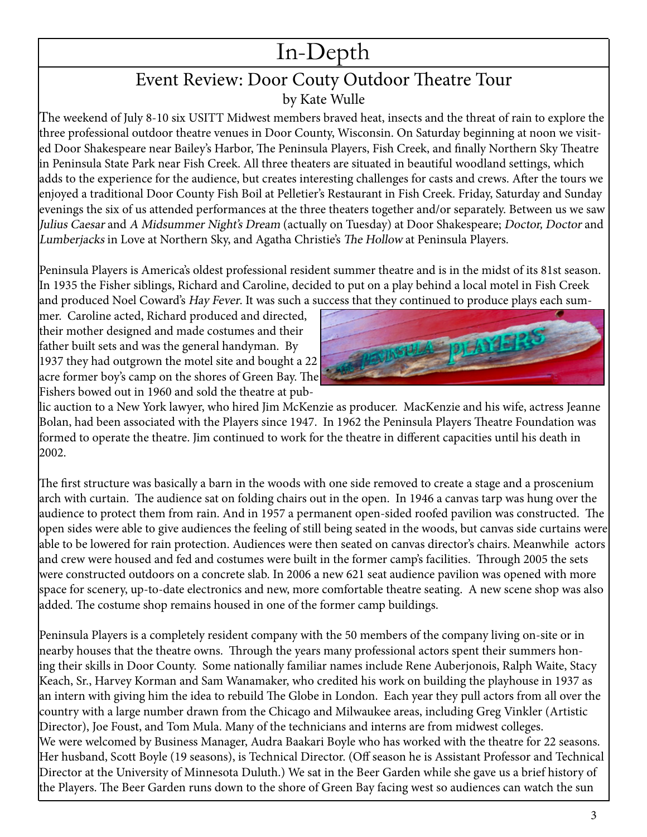## In-Depth

#### Event Review: Door Couty Outdoor Theatre Tour by Kate Wulle

The weekend of July 8-10 six USITT Midwest members braved heat, insects and the threat of rain to explore the three professional outdoor theatre venues in Door County, Wisconsin. On Saturday beginning at noon we visited Door Shakespeare near Bailey's Harbor, The Peninsula Players, Fish Creek, and finally Northern Sky Theatre in Peninsula State Park near Fish Creek. All three theaters are situated in beautiful woodland settings, which adds to the experience for the audience, but creates interesting challenges for casts and crews. After the tours we enjoyed a traditional Door County Fish Boil at Pelletier's Restaurant in Fish Creek. Friday, Saturday and Sunday evenings the six of us attended performances at the three theaters together and/or separately. Between us we saw Julius Caesar and A Midsummer Night's Dream (actually on Tuesday) at Door Shakespeare; Doctor, Doctor and Lumberjacks in Love at Northern Sky, and Agatha Christie's The Hollow at Peninsula Players.

Peninsula Players is America's oldest professional resident summer theatre and is in the midst of its 81st season. In 1935 the Fisher siblings, Richard and Caroline, decided to put on a play behind a local motel in Fish Creek and produced Noel Coward's Hay Fever. It was such a success that they continued to produce plays each sum-

mer. Caroline acted, Richard produced and directed, their mother designed and made costumes and their father built sets and was the general handyman. By 1937 they had outgrown the motel site and bought a 22 acre former boy's camp on the shores of Green Bay. The Fishers bowed out in 1960 and sold the theatre at pub-



lic auction to a New York lawyer, who hired Jim McKenzie as producer. MacKenzie and his wife, actress Jeanne Bolan, had been associated with the Players since 1947. In 1962 the Peninsula Players Theatre Foundation was formed to operate the theatre. Jim continued to work for the theatre in different capacities until his death in 2002.

The first structure was basically a barn in the woods with one side removed to create a stage and a proscenium arch with curtain. The audience sat on folding chairs out in the open. In 1946 a canvas tarp was hung over the audience to protect them from rain. And in 1957 a permanent open-sided roofed pavilion was constructed. The open sides were able to give audiences the feeling of still being seated in the woods, but canvas side curtains were able to be lowered for rain protection. Audiences were then seated on canvas director's chairs. Meanwhile actors and crew were housed and fed and costumes were built in the former camp's facilities. Through 2005 the sets were constructed outdoors on a concrete slab. In 2006 a new 621 seat audience pavilion was opened with more space for scenery, up-to-date electronics and new, more comfortable theatre seating. A new scene shop was also added. The costume shop remains housed in one of the former camp buildings.

Peninsula Players is a completely resident company with the 50 members of the company living on-site or in nearby houses that the theatre owns. Through the years many professional actors spent their summers honing their skills in Door County. Some nationally familiar names include Rene Auberjonois, Ralph Waite, Stacy Keach, Sr., Harvey Korman and Sam Wanamaker, who credited his work on building the playhouse in 1937 as an intern with giving him the idea to rebuild The Globe in London. Each year they pull actors from all over the country with a large number drawn from the Chicago and Milwaukee areas, including Greg Vinkler (Artistic Director), Joe Foust, and Tom Mula. Many of the technicians and interns are from midwest colleges. We were welcomed by Business Manager, Audra Baakari Boyle who has worked with the theatre for 22 seasons. Her husband, Scott Boyle (19 seasons), is Technical Director. (Off season he is Assistant Professor and Technical Director at the University of Minnesota Duluth.) We sat in the Beer Garden while she gave us a brief history of the Players. The Beer Garden runs down to the shore of Green Bay facing west so audiences can watch the sun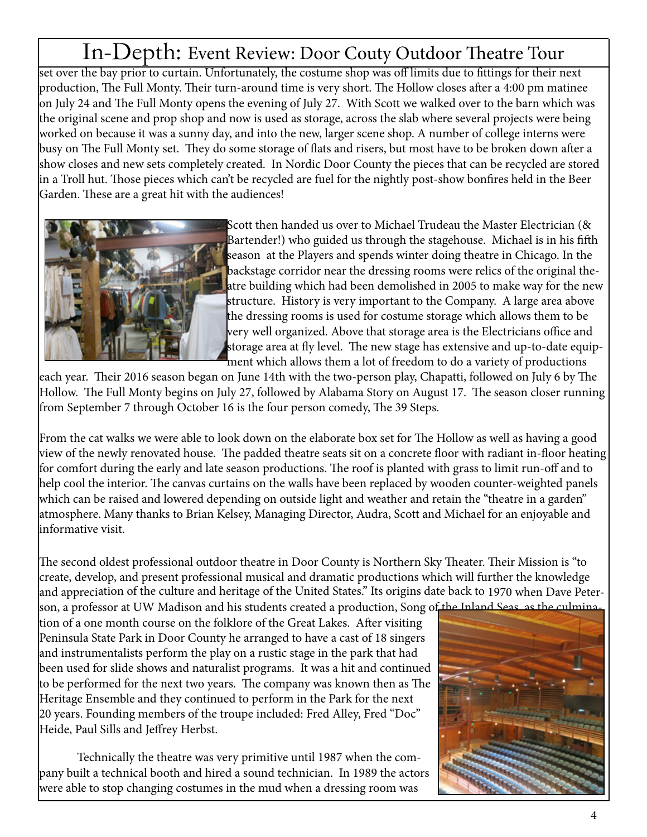### In-Depth: Event Review: Door Couty Outdoor Theatre Tour

set over the bay prior to curtain. Unfortunately, the costume shop was off limits due to fittings for their next production, The Full Monty. Their turn-around time is very short. The Hollow closes after a 4:00 pm matinee on July 24 and The Full Monty opens the evening of July 27. With Scott we walked over to the barn which was the original scene and prop shop and now is used as storage, across the slab where several projects were being worked on because it was a sunny day, and into the new, larger scene shop. A number of college interns were busy on The Full Monty set. They do some storage of flats and risers, but most have to be broken down after a show closes and new sets completely created. In Nordic Door County the pieces that can be recycled are stored in a Troll hut. Those pieces which can't be recycled are fuel for the nightly post-show bonfires held in the Beer Garden. These are a great hit with the audiences!



Scott then handed us over to Michael Trudeau the Master Electrician (& Bartender!) who guided us through the stagehouse. Michael is in his fifth season at the Players and spends winter doing theatre in Chicago. In the backstage corridor near the dressing rooms were relics of the original theatre building which had been demolished in 2005 to make way for the new structure. History is very important to the Company. A large area above the dressing rooms is used for costume storage which allows them to be very well organized. Above that storage area is the Electricians office and storage area at fly level. The new stage has extensive and up-to-date equipment which allows them a lot of freedom to do a variety of productions

each year. Their 2016 season began on June 14th with the two-person play, Chapatti, followed on July 6 by The Hollow. The Full Monty begins on July 27, followed by Alabama Story on August 17. The season closer running from September 7 through October 16 is the four person comedy, The 39 Steps.

From the cat walks we were able to look down on the elaborate box set for The Hollow as well as having a good view of the newly renovated house. The padded theatre seats sit on a concrete floor with radiant in-floor heating for comfort during the early and late season productions. The roof is planted with grass to limit run-off and to help cool the interior. The canvas curtains on the walls have been replaced by wooden counter-weighted panels which can be raised and lowered depending on outside light and weather and retain the "theatre in a garden" atmosphere. Many thanks to Brian Kelsey, Managing Director, Audra, Scott and Michael for an enjoyable and informative visit.

The second oldest professional outdoor theatre in Door County is Northern Sky Theater. Their Mission is "to create, develop, and present professional musical and dramatic productions which will further the knowledge and appreciation of the culture and heritage of the United States." Its origins date back to 1970 when Dave Peter-

son, a professor at UW Madison and his students created a production, Song of the Inland Seas, as the culmination of a one month course on the folklore of the Great Lakes. After visiting Peninsula State Park in Door County he arranged to have a cast of 18 singers and instrumentalists perform the play on a rustic stage in the park that had been used for slide shows and naturalist programs. It was a hit and continued to be performed for the next two years. The company was known then as The Heritage Ensemble and they continued to perform in the Park for the next 20 years. Founding members of the troupe included: Fred Alley, Fred "Doc" Heide, Paul Sills and Jeffrey Herbst.

Technically the theatre was very primitive until 1987 when the company built a technical booth and hired a sound technician. In 1989 the actors were able to stop changing costumes in the mud when a dressing room was

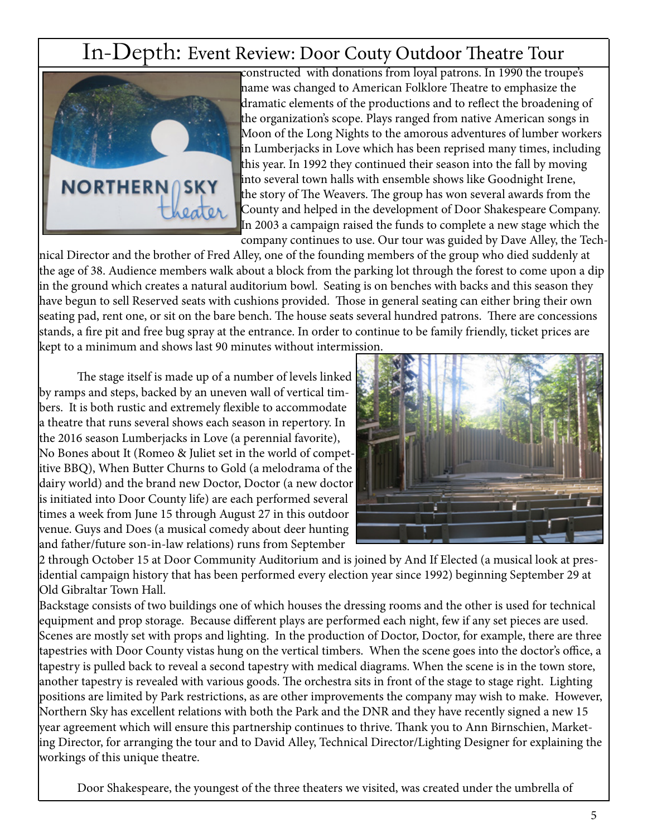### In-Depth: Event Review: Door Couty Outdoor Theatre Tour



constructed with donations from loyal patrons. In 1990 the troupe's name was changed to American Folklore Theatre to emphasize the dramatic elements of the productions and to reflect the broadening of the organization's scope. Plays ranged from native American songs in Moon of the Long Nights to the amorous adventures of lumber workers in Lumberjacks in Love which has been reprised many times, including this year. In 1992 they continued their season into the fall by moving into several town halls with ensemble shows like Goodnight Irene, the story of The Weavers. The group has won several awards from the County and helped in the development of Door Shakespeare Company. In 2003 a campaign raised the funds to complete a new stage which the company continues to use. Our tour was guided by Dave Alley, the Tech-

nical Director and the brother of Fred Alley, one of the founding members of the group who died suddenly at the age of 38. Audience members walk about a block from the parking lot through the forest to come upon a dip in the ground which creates a natural auditorium bowl. Seating is on benches with backs and this season they have begun to sell Reserved seats with cushions provided. Those in general seating can either bring their own seating pad, rent one, or sit on the bare bench. The house seats several hundred patrons. There are concessions stands, a fire pit and free bug spray at the entrance. In order to continue to be family friendly, ticket prices are kept to a minimum and shows last 90 minutes without intermission.

The stage itself is made up of a number of levels linked by ramps and steps, backed by an uneven wall of vertical timbers. It is both rustic and extremely flexible to accommodate a theatre that runs several shows each season in repertory. In the 2016 season Lumberjacks in Love (a perennial favorite), No Bones about It (Romeo & Juliet set in the world of competitive BBQ), When Butter Churns to Gold (a melodrama of the dairy world) and the brand new Doctor, Doctor (a new doctor is initiated into Door County life) are each performed several times a week from June 15 through August 27 in this outdoor venue. Guys and Does (a musical comedy about deer hunting and father/future son-in-law relations) runs from September



2 through October 15 at Door Community Auditorium and is joined by And If Elected (a musical look at presidential campaign history that has been performed every election year since 1992) beginning September 29 at Old Gibraltar Town Hall.

Backstage consists of two buildings one of which houses the dressing rooms and the other is used for technical equipment and prop storage. Because different plays are performed each night, few if any set pieces are used. Scenes are mostly set with props and lighting. In the production of Doctor, Doctor, for example, there are three tapestries with Door County vistas hung on the vertical timbers. When the scene goes into the doctor's office, a tapestry is pulled back to reveal a second tapestry with medical diagrams. When the scene is in the town store, another tapestry is revealed with various goods. The orchestra sits in front of the stage to stage right. Lighting positions are limited by Park restrictions, as are other improvements the company may wish to make. However, Northern Sky has excellent relations with both the Park and the DNR and they have recently signed a new 15 year agreement which will ensure this partnership continues to thrive. Thank you to Ann Birnschien, Marketing Director, for arranging the tour and to David Alley, Technical Director/Lighting Designer for explaining the workings of this unique theatre.

Door Shakespeare, the youngest of the three theaters we visited, was created under the umbrella of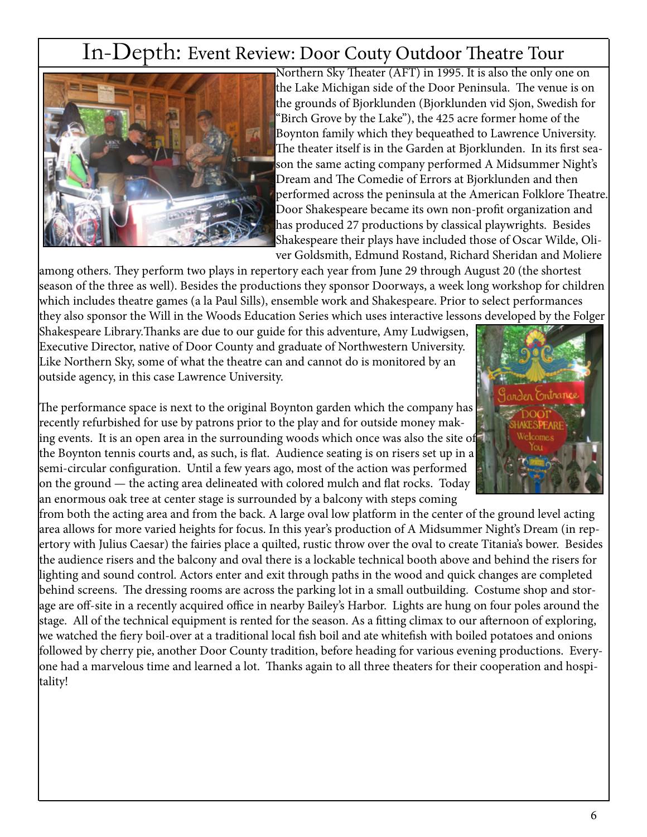### In-Depth: Event Review: Door Couty Outdoor Theatre Tour



Northern Sky Theater (AFT) in 1995. It is also the only one on the Lake Michigan side of the Door Peninsula. The venue is on the grounds of Bjorklunden (Bjorklunden vid Sjon, Swedish for "Birch Grove by the Lake"), the 425 acre former home of the Boynton family which they bequeathed to Lawrence University. The theater itself is in the Garden at Bjorklunden. In its first season the same acting company performed A Midsummer Night's Dream and The Comedie of Errors at Bjorklunden and then performed across the peninsula at the American Folklore Theatre. Door Shakespeare became its own non-profit organization and has produced 27 productions by classical playwrights. Besides Shakespeare their plays have included those of Oscar Wilde, Oliver Goldsmith, Edmund Rostand, Richard Sheridan and Moliere

among others. They perform two plays in repertory each year from June 29 through August 20 (the shortest season of the three as well). Besides the productions they sponsor Doorways, a week long workshop for children which includes theatre games (a la Paul Sills), ensemble work and Shakespeare. Prior to select performances they also sponsor the Will in the Woods Education Series which uses interactive lessons developed by the Folger

Shakespeare Library.Thanks are due to our guide for this adventure, Amy Ludwigsen, Executive Director, native of Door County and graduate of Northwestern University. Like Northern Sky, some of what the theatre can and cannot do is monitored by an outside agency, in this case Lawrence University.

The performance space is next to the original Boynton garden which the company has recently refurbished for use by patrons prior to the play and for outside money making events. It is an open area in the surrounding woods which once was also the site of the Boynton tennis courts and, as such, is flat. Audience seating is on risers set up in a semi-circular configuration. Until a few years ago, most of the action was performed on the ground — the acting area delineated with colored mulch and flat rocks. Today an enormous oak tree at center stage is surrounded by a balcony with steps coming

from both the acting area and from the back. A large oval low platform in the center of the ground level acting area allows for more varied heights for focus. In this year's production of A Midsummer Night's Dream (in repertory with Julius Caesar) the fairies place a quilted, rustic throw over the oval to create Titania's bower. Besides the audience risers and the balcony and oval there is a lockable technical booth above and behind the risers for lighting and sound control. Actors enter and exit through paths in the wood and quick changes are completed behind screens. The dressing rooms are across the parking lot in a small outbuilding. Costume shop and storage are off-site in a recently acquired office in nearby Bailey's Harbor. Lights are hung on four poles around the stage. All of the technical equipment is rented for the season. As a fitting climax to our afternoon of exploring, we watched the fiery boil-over at a traditional local fish boil and ate whitefish with boiled potatoes and onions followed by cherry pie, another Door County tradition, before heading for various evening productions. Everyone had a marvelous time and learned a lot. Thanks again to all three theaters for their cooperation and hospitality!

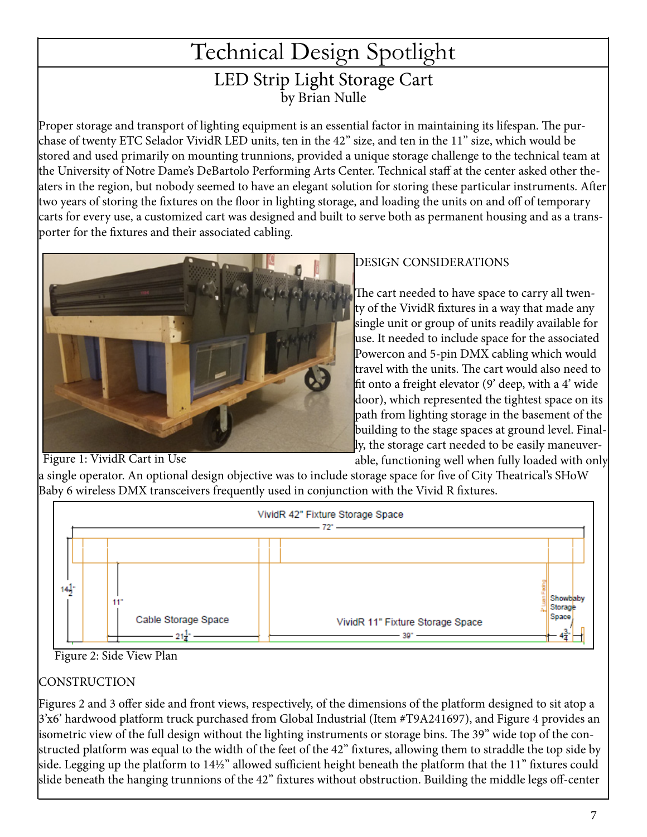### Technical Design Spotlight LED Strip Light Storage Cart by Brian Nulle

Proper storage and transport of lighting equipment is an essential factor in maintaining its lifespan. The purchase of twenty ETC Selador VividR LED units, ten in the 42" size, and ten in the 11" size, which would be stored and used primarily on mounting trunnions, provided a unique storage challenge to the technical team at the University of Notre Dame's DeBartolo Performing Arts Center. Technical staff at the center asked other theaters in the region, but nobody seemed to have an elegant solution for storing these particular instruments. After two years of storing the fixtures on the floor in lighting storage, and loading the units on and off of temporary carts for every use, a customized cart was designed and built to serve both as permanent housing and as a transporter for the fixtures and their associated cabling.



#### DESIGN CONSIDERATIONS

The cart needed to have space to carry all twenty of the VividR fixtures in a way that made any single unit or group of units readily available for use. It needed to include space for the associated Powercon and 5-pin DMX cabling which would travel with the units. The cart would also need to fit onto a freight elevator (9' deep, with a 4' wide door), which represented the tightest space on its path from lighting storage in the basement of the building to the stage spaces at ground level. Finally, the storage cart needed to be easily maneuverable, functioning well when fully loaded with only

#### Figure 1: VividR Cart in Use

VividR 42" Fixture Storage Space  $72^{\circ}$  $14\frac{1}{2}$ Showbaby Storag Space Cable Storage Space VividR 11" Fixture Storage Space  $-21\frac{1}{4}$ 

Baby 6 wireless DMX transceivers frequently used in conjunction with the Vivid R fixtures.

a single operator. An optional design objective was to include storage space for five of City Theatrical's SHoW

#### Figure 2: Side View Plan

#### **CONSTRUCTION**

Figures 2 and 3 offer side and front views, respectively, of the dimensions of the platform designed to sit atop a 3'x6' hardwood platform truck purchased from Global Industrial (Item #T9A241697), and Figure 4 provides an isometric view of the full design without the lighting instruments or storage bins. The 39" wide top of the constructed platform was equal to the width of the feet of the 42" fixtures, allowing them to straddle the top side by side. Legging up the platform to 14½" allowed sufficient height beneath the platform that the 11" fixtures could slide beneath the hanging trunnions of the 42" fixtures without obstruction. Building the middle legs off-center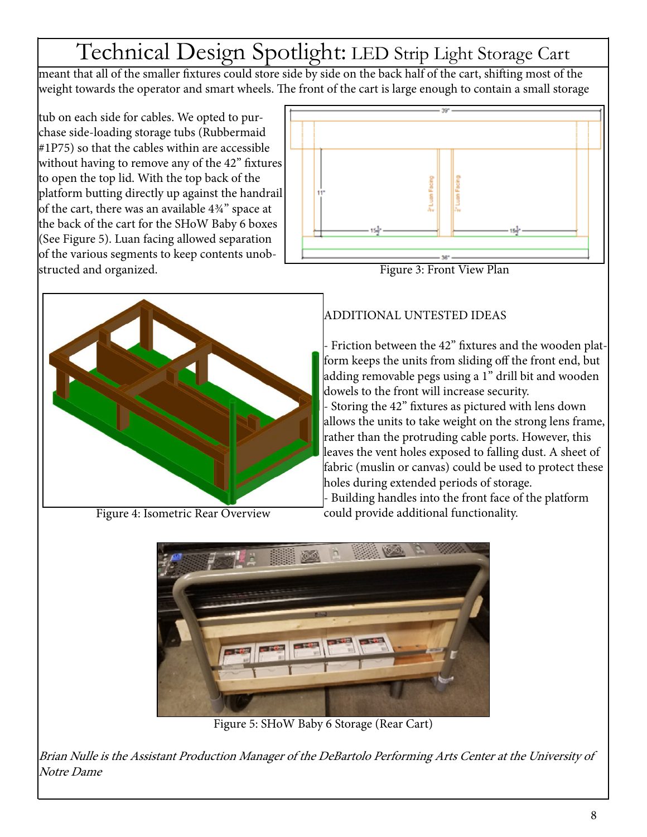# Technical Design Spotlight: LED Strip Light Storage Cart

meant that all of the smaller fixtures could store side by side on the back half of the cart, shifting most of the weight towards the operator and smart wheels. The front of the cart is large enough to contain a small storage

tub on each side for cables. We opted to purchase side-loading storage tubs (Rubbermaid #1P75) so that the cables within are accessible without having to remove any of the 42" fixtures to open the top lid. With the top back of the platform butting directly up against the handrail of the cart, there was an available 4¾" space at the back of the cart for the SHoW Baby 6 boxes (See Figure 5). Luan facing allowed separation of the various segments to keep contents unobstructed and organized.



Figure 4: Isometric Rear Overview



Figure 3: Front View Plan

#### ADDITIONAL UNTESTED IDEAS

Friction between the 42" fixtures and the wooden platform keeps the units from sliding off the front end, but adding removable pegs using a 1" drill bit and wooden dowels to the front will increase security. - Storing the 42" fixtures as pictured with lens down allows the units to take weight on the strong lens frame, rather than the protruding cable ports. However, this leaves the vent holes exposed to falling dust. A sheet of fabric (muslin or canvas) could be used to protect these holes during extended periods of storage.

- Building handles into the front face of the platform could provide additional functionality.



Figure 5: SHoW Baby 6 Storage (Rear Cart)

Brian Nulle is the Assistant Production Manager of the DeBartolo Performing Arts Center at the University of Notre Dame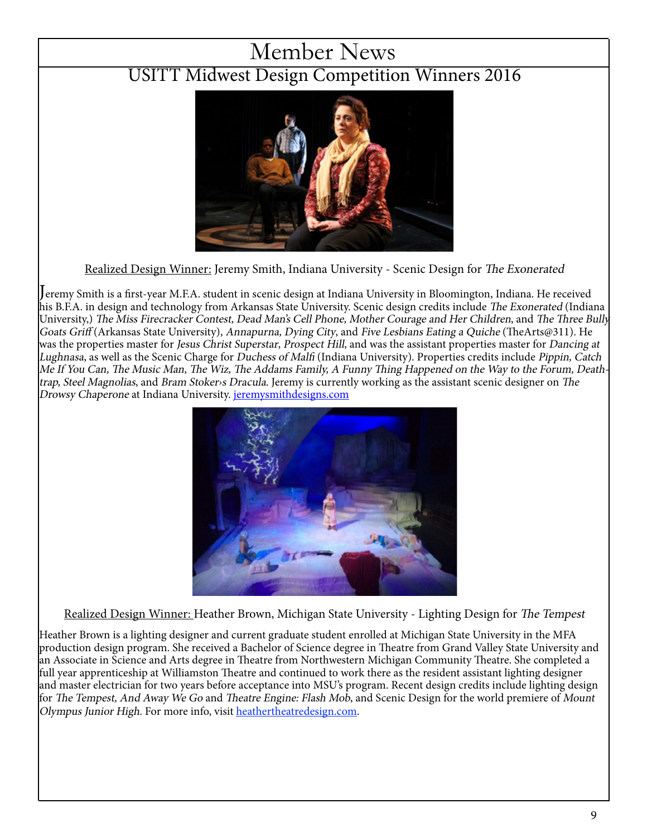### Member News

### USITT Midwest Design Competition Winners 2016



Realized Design Winner: Jeremy Smith, Indiana University - Scenic Design for The Exonerated

Jeremy Smith is a first-year M.F.A. student in scenic design at Indiana University in Bloomington, Indiana. He received his B.F.A. in design and technology from Arkansas State University. Scenic design credits include The Exonerated (Indiana University,) The Miss Firecracker Contest, Dead Man's Cell Phone, Mother Courage and Her Children, and The Three Bully Goats Griff (Arkansas State University), Annapurna, Dying City, and Five Lesbians Eating a Quiche (TheArts@311). He was the properties master for Jesus Christ Superstar, Prospect Hill, and was the assistant properties master for Dancing at Lughnasa, as well as the Scenic Charge for Duchess of Malfi (Indiana University). Properties credits include Pippin, Catch Me If You Can, The Music Man, The Wiz, The Addams Family, A Funny Thing Happened on the Way to the Forum, Deathtrap, Steel Magnolias, and Bram Stoker›s Dracula. Jeremy is currently working as the assistant scenic designer on The Drowsy Chaperone at Indiana University. jeremysmithdesigns.com



Realized Design Winner: Heather Brown, Michigan State University - Lighting Design for The Tempest

Heather Brown is a lighting designer and current graduate student enrolled at Michigan State University in the MFA production design program. She received a Bachelor of Science degree in Theatre from Grand Valley State University and an Associate in Science and Arts degree in Theatre from Northwestern Michigan Community Theatre. She completed a full year apprenticeship at Williamston Theatre and continued to work there as the resident assistant lighting designer and master electrician for two years before acceptance into MSU's program. Recent design credits include lighting design for The Tempest, And Away We Go and Theatre Engine: Flash Mob, and Scenic Design for the world premiere of Mount Olympus Junior High. For more info, visit heathertheatredesign.com.